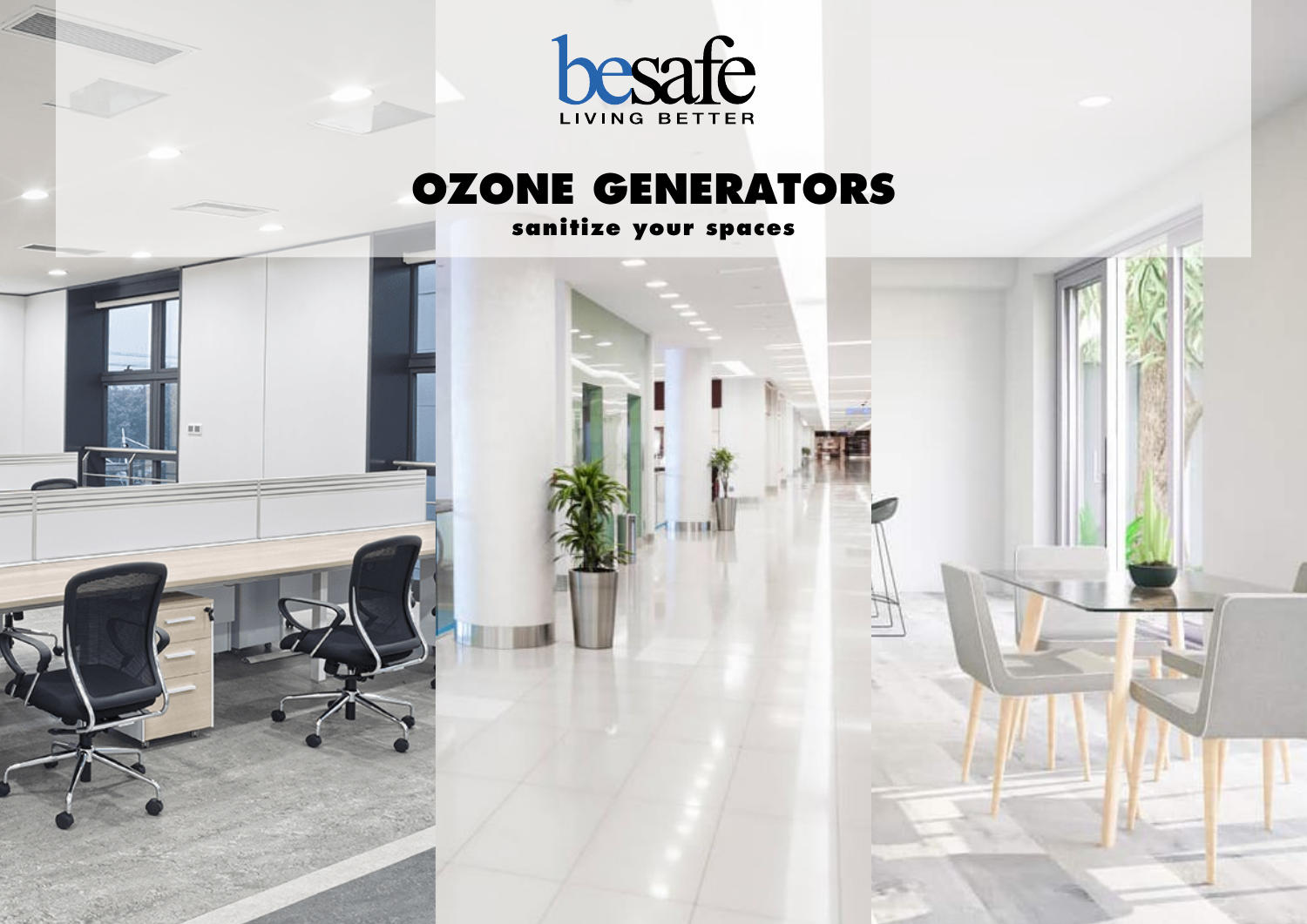

### **OZONE GENERATORS**

**sanitize your spaces**

in in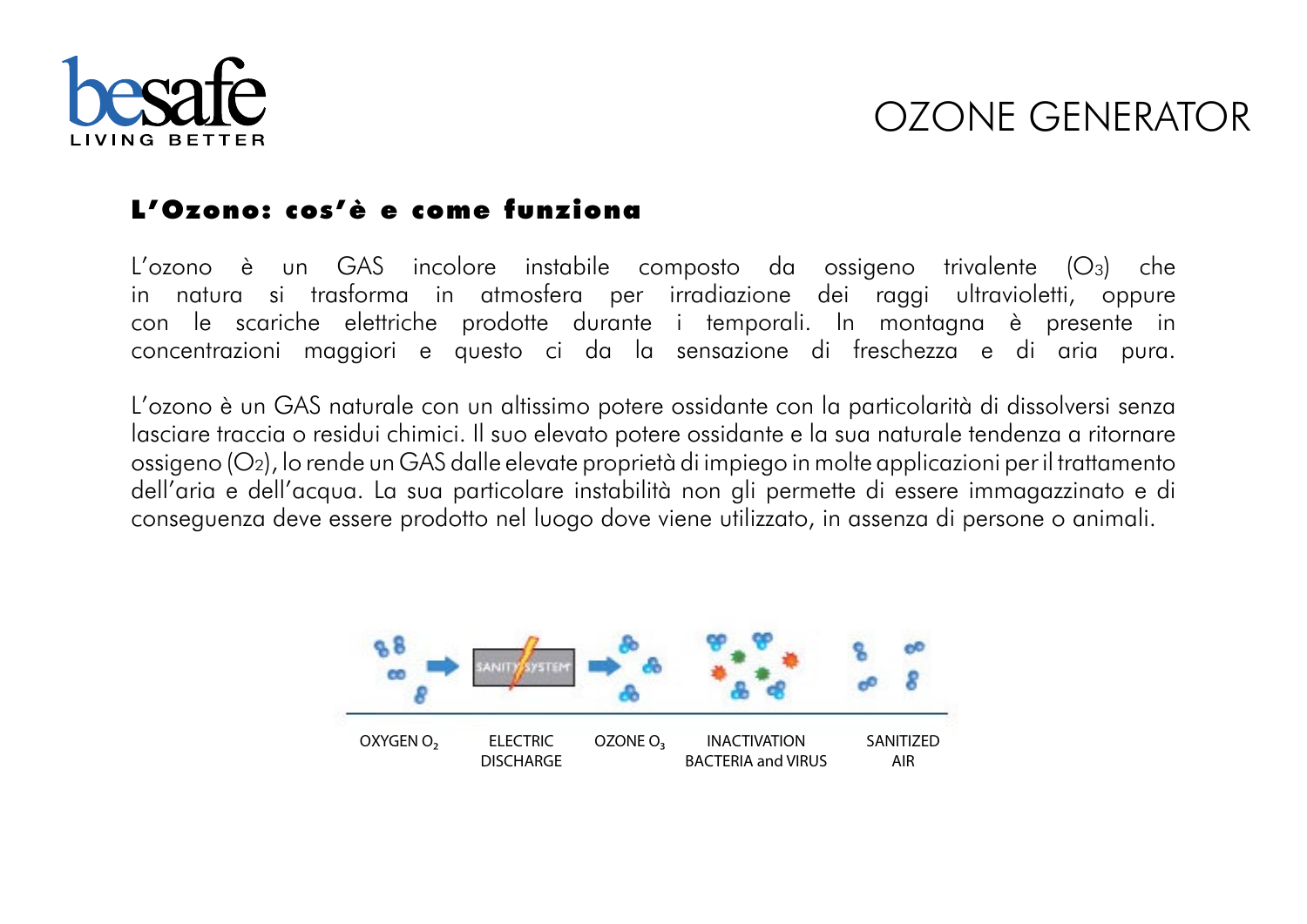

### OZONE GENERATOR

### **L'Ozono: cos'è e come funziona**

L'ozono è un GAS incolore instabile composto da ossigeno trivalente (O<sub>3</sub>) che in natura si trasforma in atmosfera per irradiazione dei raggi ultravioletti, oppure con le scariche elettriche prodotte durante i temporali. In montagna è presente in concentrazioni maggiori e questo ci da la sensazione di freschezza e di aria pura.

L'ozono è un GAS naturale con un altissimo potere ossidante con la particolarità di dissolversi senza lasciare traccia o residui chimici. Il suo elevato potere ossidante e la sua naturale tendenza a ritornare ossigeno (O²), lo rende un GAS dalle elevate proprietà di impiego in molte applicazioni per il trattamento dell'aria e dell'acqua. La sua particolare instabilità non gli permette di essere immagazzinato e di conseguenza deve essere prodotto nel luogo dove viene utilizzato, in assenza di persone o animali.

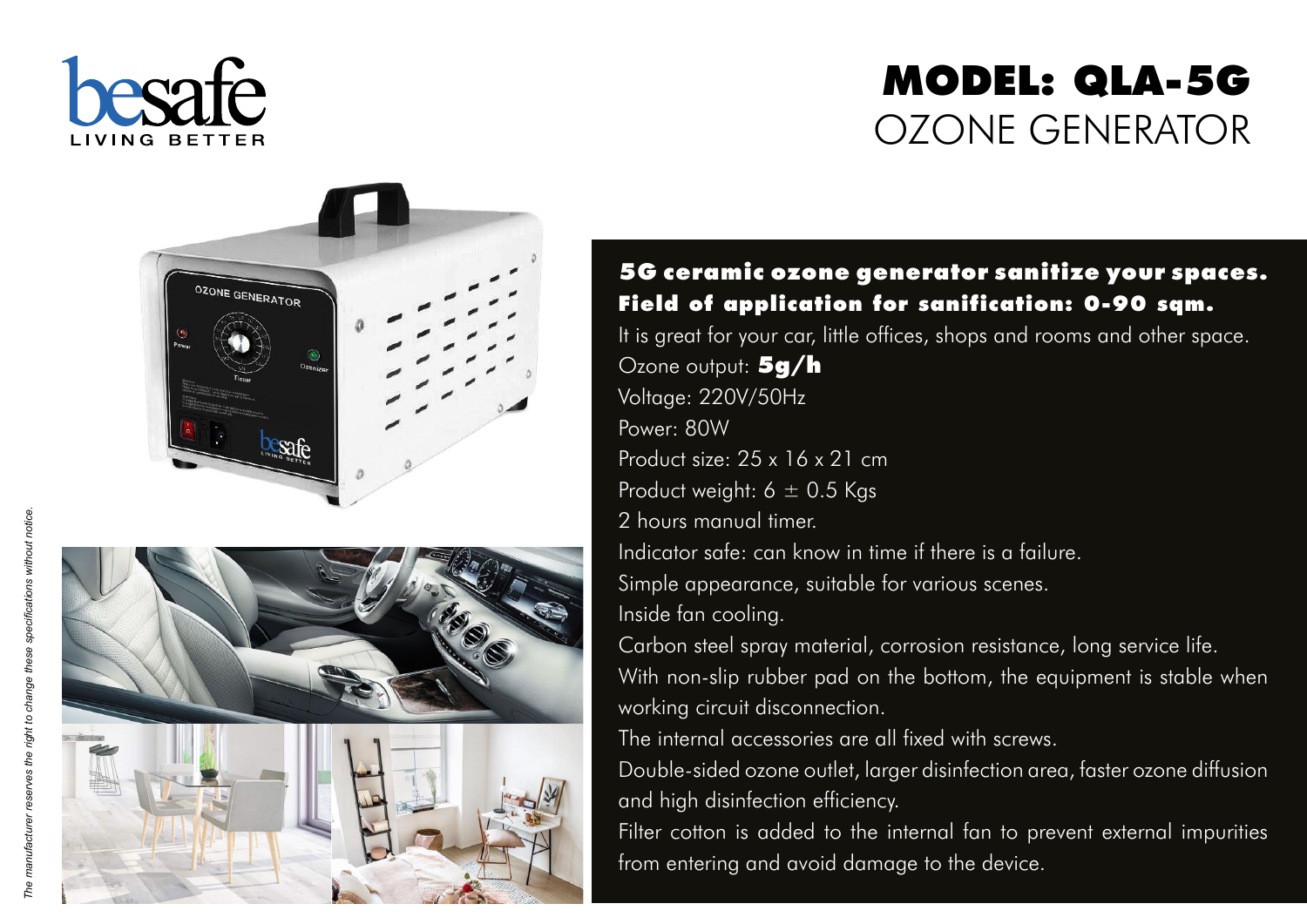

# **MODEL: QLA-5G** OZONE GENERATOR





#### **5G ceramic ozone generator sanitize your spaces. Field of application for sanification: 0-90 sqm.**

It is great for your car, little offices, shops and rooms and other space. Ozone output: **5g/h**  Voltage: 220V/50Hz Power: 80W Product size: 25 x 16 x 21 cm Product weight:  $6 \pm 0.5$  Kgs 2 hours manual timer. Indicator safe: can know in time if there is a failure. Simple appearance, suitable for various scenes. Inside fan cooling. Carbon steel spray material, corrosion resistance, long service life . With non-slip rubber pad on the bottom, the equipment is stable when

working circuit disconnection .

The internal accessories are all fixed with screws.

Double-sided ozone outlet, larger disinfection area, faster ozone diffusion and high disinfection efficiency .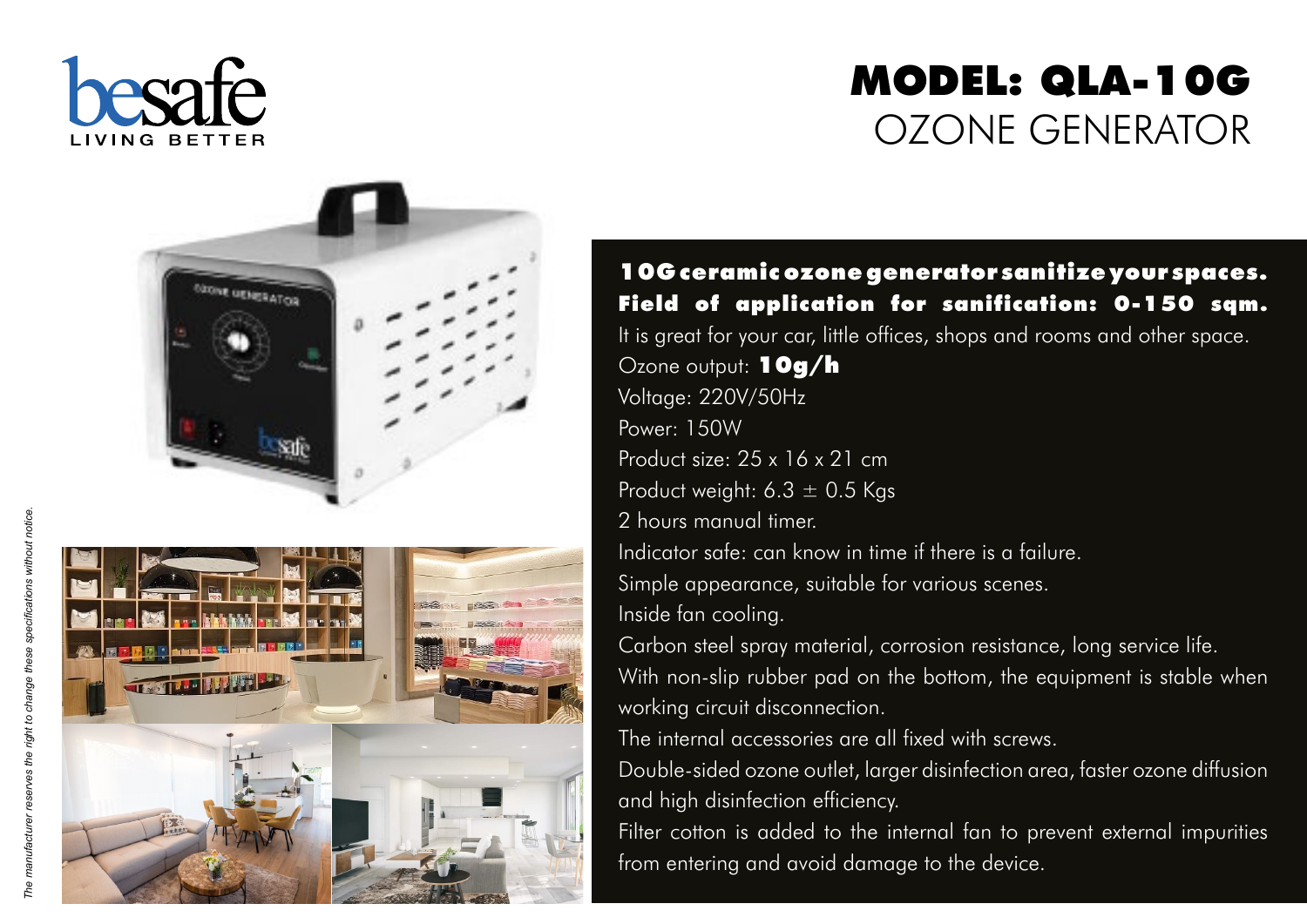

# **MODEL: QLA-10G** OZONE GENERATOR





**10G ceramic ozone generator sanitize your spaces. Field of application for sanification: 0-150 sqm.** It is great for your car, little offices, shops and rooms and other space. Ozone output: **10g/h**  Voltage: 220V/50Hz Power: 150W Product size: 25 x 16 x 21 cm Product weight:  $6.3 \pm 0.5$  Kgs 2 hours manual timer. Indicator safe: can know in time if there is a failure. Simple appearance, suitable for various scenes. Inside fan cooling. Carbon steel spray material, corrosion resistance, long service life . With non-slip rubber pad on the bottom, the equipment is stable when

working circuit disconnection . The internal accessories are all fixed with screws.

Double-sided ozone outlet, larger disinfection area, faster ozone diffusion and high disinfection efficiency .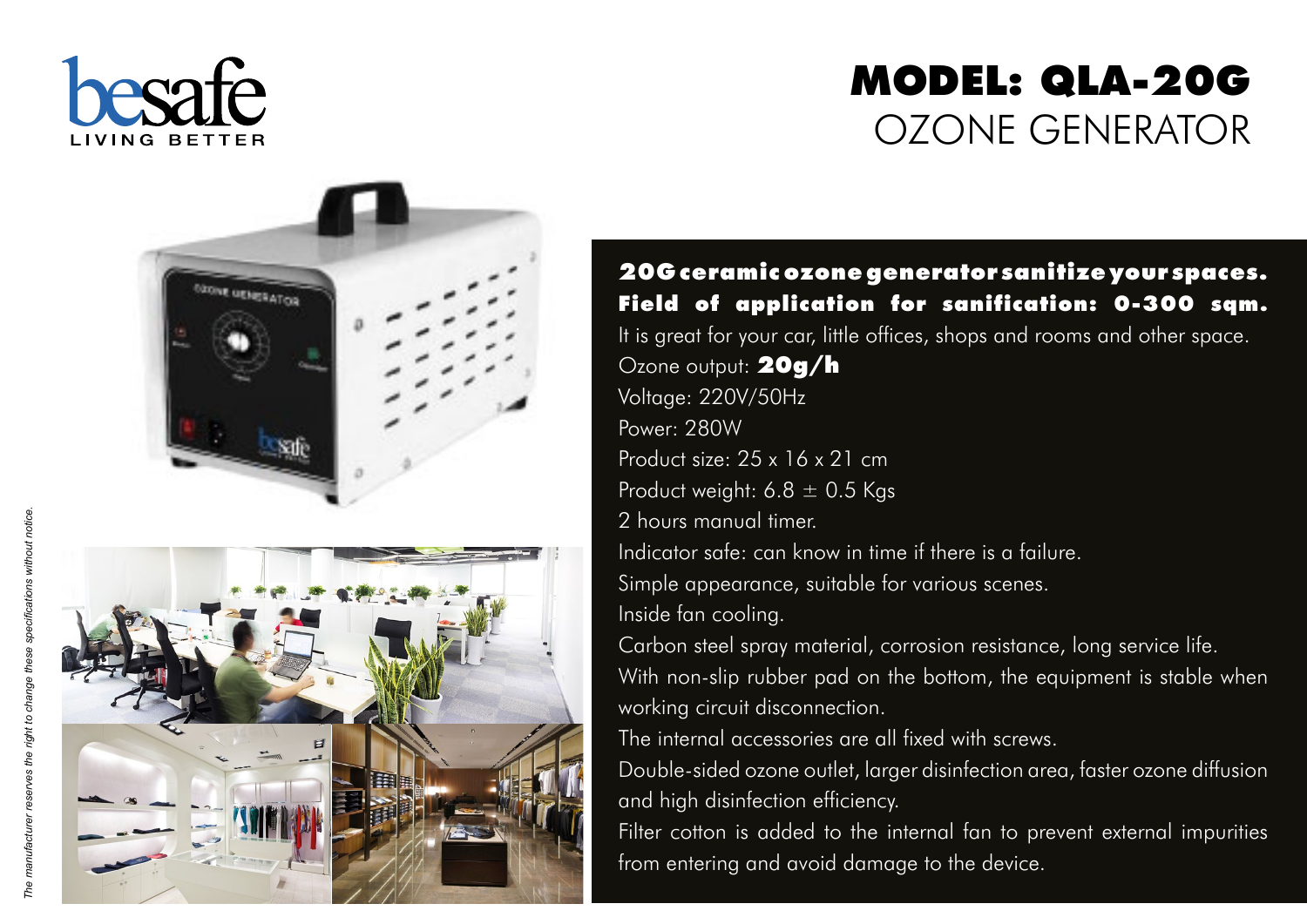

# **MODEL: QLA-20G** OZONE GENERATOR



**20G ceramic ozone generator sanitize your spaces. Field of application for sanification: 0-300 sqm.** It is great for your car, little offices, shops and rooms and other space. Ozone output: **20g/h**  Voltage: 220V/50Hz Power: 280W Product size: 25 x 16 x 21 cm Product weight:  $6.8 \pm 0.5$  Kgs 2 hours manual timer. Indicator safe: can know in time if there is a failure. Simple appearance, suitable for various scenes. Inside fan cooling. Carbon steel spray material, corrosion resistance, long service life . With non-slip rubber pad on the bottom, the equipment is stable when

The internal accessories are all fixed with screws.

working circuit disconnection .

Double-sided ozone outlet, larger disinfection area, faster ozone diffusion and high disinfection efficiency .